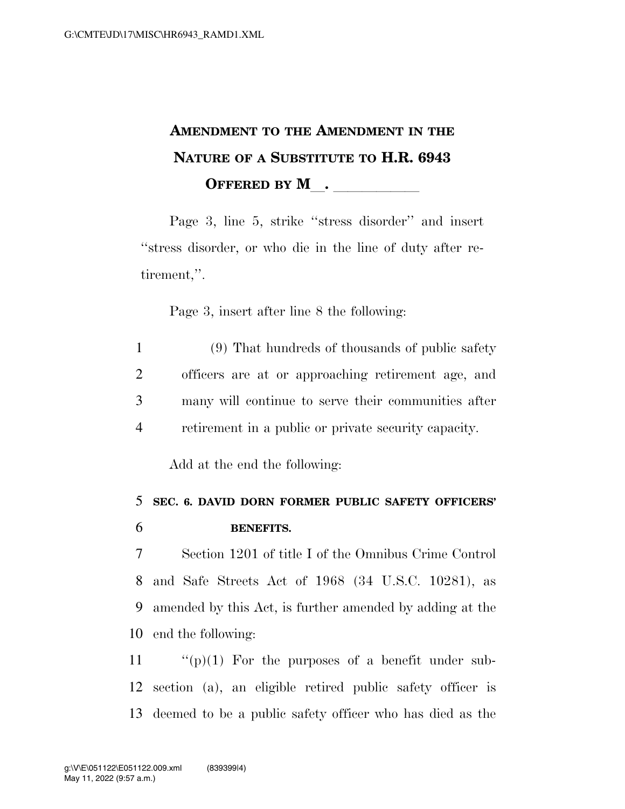## **AMENDMENT TO THE AMENDMENT IN THE NATURE OF A SUBSTITUTE TO H.R. 6943 OFFERED BY M\_\_\_\_\_\_\_\_\_\_\_\_**

Page 3, line 5, strike ''stress disorder'' and insert ''stress disorder, or who die in the line of duty after retirement,''.

Page 3, insert after line 8 the following:

 (9) That hundreds of thousands of public safety officers are at or approaching retirement age, and many will continue to serve their communities after retirement in a public or private security capacity.

Add at the end the following:

## 5 **SEC. 6. DAVID DORN FORMER PUBLIC SAFETY OFFICERS'**  6 **BENEFITS.**

 Section 1201 of title I of the Omnibus Crime Control and Safe Streets Act of 1968 (34 U.S.C. 10281), as amended by this Act, is further amended by adding at the end the following:

11  $\langle \cdots \rangle$  (p)(1) For the purposes of a benefit under sub-12 section (a), an eligible retired public safety officer is 13 deemed to be a public safety officer who has died as the